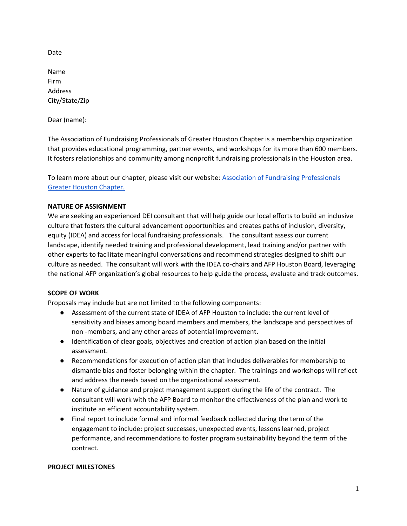Date

Name Firm Address City/State/Zip

Dear (name):

The Association of Fundraising Professionals of Greater Houston Chapter is a membership organization that provides educational programming, partner events, and workshops for its more than 600 members. It fosters relationships and community among nonprofit fundraising professionals in the Houston area.

To learn more about our chapter, please visit our website: [Association of Fundraising Professionals](https://www.afphouston.org/)  [Greater Houston Chapter.](https://www.afphouston.org/) 

## **NATURE OF ASSIGNMENT**

We are seeking an experienced DEI consultant that will help guide our local efforts to build an inclusive culture that fosters the cultural advancement opportunities and creates paths of inclusion, diversity, equity (IDEA) and access for local fundraising professionals. The consultant assess our current landscape, identify needed training and professional development, lead training and/or partner with other experts to facilitate meaningful conversations and recommend strategies designed to shift our culture as needed. The consultant will work with the IDEA co-chairs and AFP Houston Board, leveraging the national AFP organization's global resources to help guide the process, evaluate and track outcomes.

#### **SCOPE OF WORK**

Proposals may include but are not limited to the following components:

- Assessment of the current state of IDEA of AFP Houston to include: the current level of sensitivity and biases among board members and members, the landscape and perspectives of non -members, and any other areas of potential improvement.
- Identification of clear goals, objectives and creation of action plan based on the initial assessment.
- Recommendations for execution of action plan that includes deliverables for membership to dismantle bias and foster belonging within the chapter. The trainings and workshops will reflect and address the needs based on the organizational assessment.
- Nature of guidance and project management support during the life of the contract. The consultant will work with the AFP Board to monitor the effectiveness of the plan and work to institute an efficient accountability system.
- Final report to include formal and informal feedback collected during the term of the engagement to include: project successes, unexpected events, lessons learned, project performance, and recommendations to foster program sustainability beyond the term of the contract.

#### **PROJECT MILESTONES**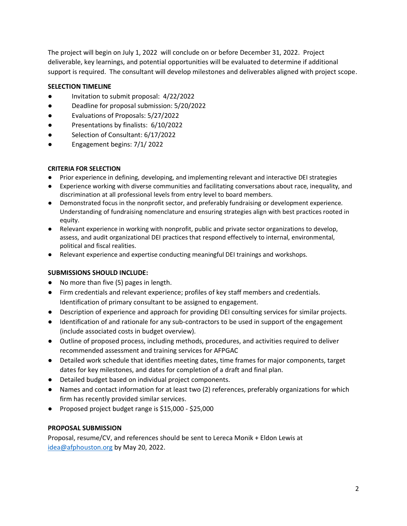The project will begin on July 1, 2022 will conclude on or before December 31, 2022. Project deliverable, key learnings, and potential opportunities will be evaluated to determine if additional support is required. The consultant will develop milestones and deliverables aligned with project scope.

### **SELECTION TIMELINE**

- Invitation to submit proposal: 4/22/2022
- Deadline for proposal submission: 5/20/2022
- Evaluations of Proposals: 5/27/2022
- Presentations by finalists: 6/10/2022
- Selection of Consultant: 6/17/2022
- Engagement begins: 7/1/ 2022

#### **CRITERIA FOR SELECTION**

- Prior experience in defining, developing, and implementing relevant and interactive DEI strategies
- Experience working with diverse communities and facilitating conversations about race, inequality, and discrimination at all professional levels from entry level to board members.
- Demonstrated focus in the nonprofit sector, and preferably fundraising or development experience. Understanding of fundraising nomenclature and ensuring strategies align with best practices rooted in equity.
- Relevant experience in working with nonprofit, public and private sector organizations to develop, assess, and audit organizational DEI practices that respond effectively to internal, environmental, political and fiscal realities.
- Relevant experience and expertise conducting meaningful DEI trainings and workshops.

#### **SUBMISSIONS SHOULD INCLUDE:**

- No more than five (5) pages in length.
- Firm credentials and relevant experience; profiles of key staff members and credentials. Identification of primary consultant to be assigned to engagement.
- Description of experience and approach for providing DEI consulting services for similar projects.
- Identification of and rationale for any sub-contractors to be used in support of the engagement (include associated costs in budget overview).
- Outline of proposed process, including methods, procedures, and activities required to deliver recommended assessment and training services for AFPGAC
- Detailed work schedule that identifies meeting dates, time frames for major components, target dates for key milestones, and dates for completion of a draft and final plan.
- Detailed budget based on individual project components.
- Names and contact information for at least two (2) references, preferably organizations for which firm has recently provided similar services.
- Proposed project budget range is \$15,000 \$25,000

#### **PROPOSAL SUBMISSION**

Proposal, resume/CV, and references should be sent to Lereca Monik + Eldon Lewis at [idea@afphouston.org](mailto:idea@afphouston.org) by May 20, 2022.